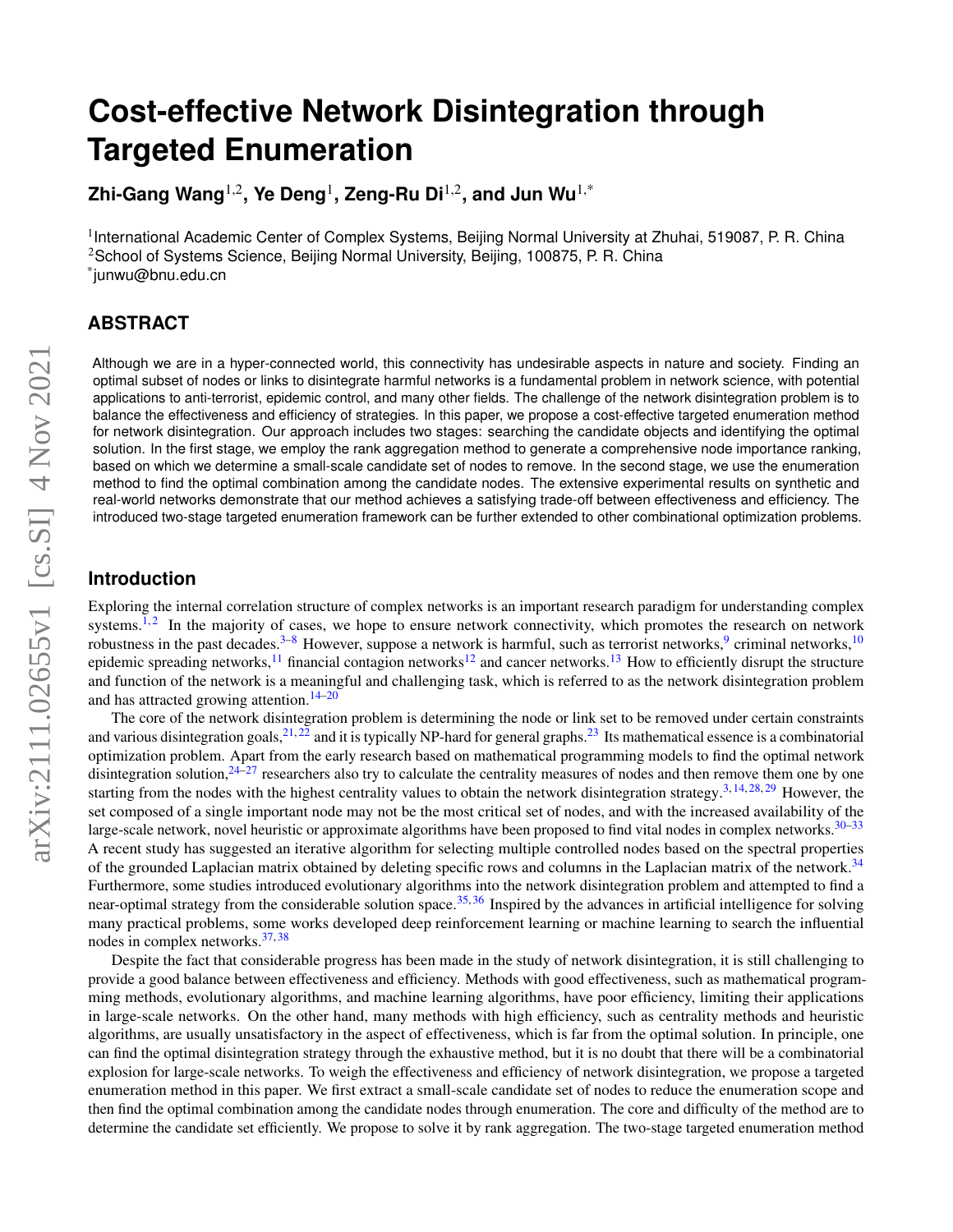# **Cost-effective Network Disintegration through Targeted Enumeration**

**Zhi-Gang Wang**1,2**, Ye Deng**<sup>1</sup> **, Zeng-Ru Di**1,2**, and Jun Wu**1,\*

<sup>1</sup>International Academic Center of Complex Systems, Beijing Normal University at Zhuhai, 519087, P. R. China <sup>2</sup>School of Systems Science, Beijing Normal University, Beijing, 100875, P. R. China \* junwu@bnu.edu.cn

# **ABSTRACT**

Although we are in a hyper-connected world, this connectivity has undesirable aspects in nature and society. Finding an optimal subset of nodes or links to disintegrate harmful networks is a fundamental problem in network science, with potential applications to anti-terrorist, epidemic control, and many other fields. The challenge of the network disintegration problem is to balance the effectiveness and efficiency of strategies. In this paper, we propose a cost-effective targeted enumeration method for network disintegration. Our approach includes two stages: searching the candidate objects and identifying the optimal solution. In the first stage, we employ the rank aggregation method to generate a comprehensive node importance ranking, based on which we determine a small-scale candidate set of nodes to remove. In the second stage, we use the enumeration method to find the optimal combination among the candidate nodes. The extensive experimental results on synthetic and real-world networks demonstrate that our method achieves a satisfying trade-off between effectiveness and efficiency. The introduced two-stage targeted enumeration framework can be further extended to other combinational optimization problems.

## **Introduction**

Exploring the internal correlation structure of complex networks is an important research paradigm for understanding complex systems.<sup>[1,](#page-9-0)[2](#page-9-1)</sup> In the majority of cases, we hope to ensure network connectivity, which promotes the research on network robustness in the past decades.<sup>[3](#page-9-2)[–8](#page-10-0)</sup> However, suppose a network is harmful, such as terrorist networks,<sup>[9](#page-10-1)</sup> criminal networks,<sup>[10](#page-10-2)</sup> epidemic spreading networks,<sup>[11](#page-10-3)</sup> financial contagion networks<sup>[12](#page-10-4)</sup> and cancer networks.<sup>[13](#page-10-5)</sup> How to efficiently disrupt the structure and function of the network is a meaningful and challenging task, which is referred to as the network disintegration problem and has attracted growing attention.<sup>[14](#page-10-6)[–20](#page-10-7)</sup>

The core of the network disintegration problem is determining the node or link set to be removed under certain constraints and various disintegration goals,  $2^{1,22}$  $2^{1,22}$  $2^{1,22}$  and it is typically NP-hard for general graphs.  $2^{2}$  Its mathematical essence is a combinatorial optimization problem. Apart from the early research based on mathematical programming models to find the optimal network disintegration solution,  $24-27$  $24-27$  researchers also try to calculate the centrality measures of nodes and then remove them one by one starting from the nodes with the highest centrality values to obtain the network disintegration strategy.<sup>[3,](#page-9-2) [14,](#page-10-6) [28,](#page-10-13) [29](#page-10-14)</sup> However, the set composed of a single important node may not be the most critical set of nodes, and with the increased availability of the large-scale network, novel heuristic or approximate algorithms have been proposed to find vital nodes in complex networks.  $30-33$  $30-33$ A recent study has suggested an iterative algorithm for selecting multiple controlled nodes based on the spectral properties of the grounded Laplacian matrix obtained by deleting specific rows and columns in the Laplacian matrix of the network.<sup>[34](#page-11-0)</sup> Furthermore, some studies introduced evolutionary algorithms into the network disintegration problem and attempted to find a near-optimal strategy from the considerable solution space.<sup>[35,](#page-11-1) [36](#page-11-2)</sup> Inspired by the advances in artificial intelligence for solving many practical problems, some works developed deep reinforcement learning or machine learning to search the influential nodes in complex networks.[37,](#page-11-3) [38](#page-11-4)

Despite the fact that considerable progress has been made in the study of network disintegration, it is still challenging to provide a good balance between effectiveness and efficiency. Methods with good effectiveness, such as mathematical programming methods, evolutionary algorithms, and machine learning algorithms, have poor efficiency, limiting their applications in large-scale networks. On the other hand, many methods with high efficiency, such as centrality methods and heuristic algorithms, are usually unsatisfactory in the aspect of effectiveness, which is far from the optimal solution. In principle, one can find the optimal disintegration strategy through the exhaustive method, but it is no doubt that there will be a combinatorial explosion for large-scale networks. To weigh the effectiveness and efficiency of network disintegration, we propose a targeted enumeration method in this paper. We first extract a small-scale candidate set of nodes to reduce the enumeration scope and then find the optimal combination among the candidate nodes through enumeration. The core and difficulty of the method are to determine the candidate set efficiently. We propose to solve it by rank aggregation. The two-stage targeted enumeration method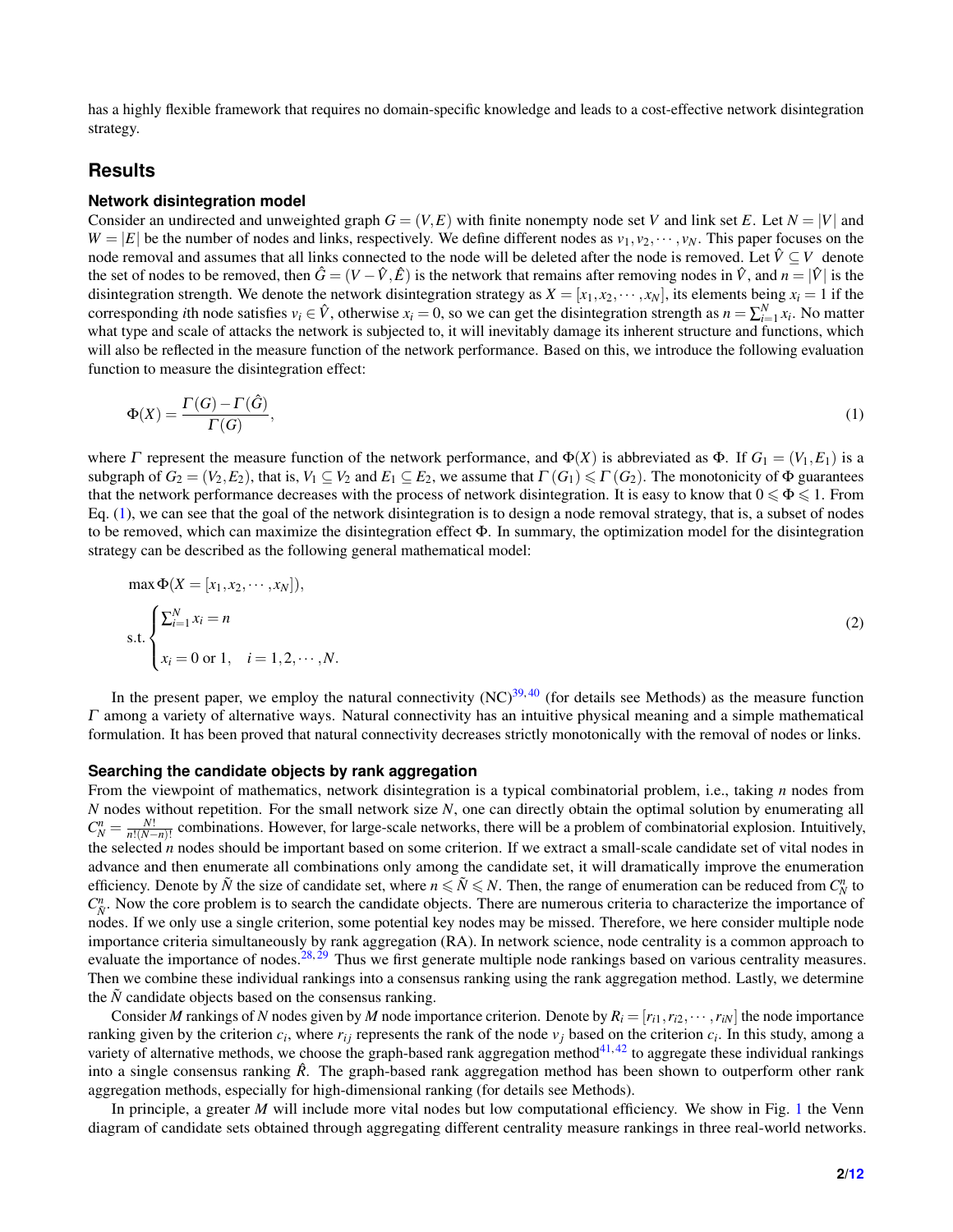has a highly flexible framework that requires no domain-specific knowledge and leads to a cost-effective network disintegration strategy.

## **Results**

#### **Network disintegration model**

Consider an undirected and unweighted graph  $G = (V, E)$  with finite nonempty node set *V* and link set *E*. Let  $N = |V|$  and  $W = |E|$  be the number of nodes and links, respectively. We define different nodes as  $v_1, v_2, \dots, v_N$ . This paper focuses on the node removal and assumes that all links connected to the node will be deleted after the node is removed. Let  $\hat{V} \subseteq V$  denote the set of nodes to be removed, then  $\hat{G} = (V - \hat{V}, \hat{E})$  is the network that remains after removing nodes in  $\hat{V}$ , and  $n = |\hat{V}|$  is the disintegration strength. We denote the network disintegration strategy as  $X = [x_1, x_2, \dots, x_N]$ , its elements being  $x_i = 1$  if the corresponding *i*th node satisfies  $v_i \in \hat{V}$ , otherwise  $x_i = 0$ , so we can get the disintegration strength as  $n = \sum_{i=1}^{N} x_i$ . No matter what type and scale of attacks the network is subjected to, it will inevitably damage its inherent structure and functions, which will also be reflected in the measure function of the network performance. Based on this, we introduce the following evaluation function to measure the disintegration effect:

<span id="page-1-0"></span>
$$
\Phi(X) = \frac{\Gamma(G) - \Gamma(\hat{G})}{\Gamma(G)},\tag{1}
$$

where  $\Gamma$  represent the measure function of the network performance, and  $\Phi(X)$  is abbreviated as  $\Phi$ . If  $G_1 = (V_1, E_1)$  is a subgraph of  $G_2 = (V_2, E_2)$ , that is,  $V_1 \subseteq V_2$  and  $E_1 \subseteq E_2$ , we assume that  $\Gamma(G_1) \leq \Gamma(G_2)$ . The monotonicity of  $\Phi$  guarantees that the network performance decreases with the process of network disintegration. It is easy to know that  $0 \le \Phi \le 1$ . From Eq.  $(1)$ , we can see that the goal of the network disintegration is to design a node removal strategy, that is, a subset of nodes to be removed, which can maximize the disintegration effect Φ. In summary, the optimization model for the disintegration strategy can be described as the following general mathematical model:

$$
\max \Phi(X = [x_1, x_2, \cdots, x_N]),
$$
  
s.t. 
$$
\begin{cases} \sum_{i=1}^N x_i = n \\ x_i = 0 \text{ or } 1, \quad i = 1, 2, \cdots, N. \end{cases}
$$
 (2)

In the present paper, we employ the natural connectivity  $(NC)^{39,40}$  $(NC)^{39,40}$  $(NC)^{39,40}$  $(NC)^{39,40}$  (for details see Methods) as the measure function  $\Gamma$  among a variety of alternative ways. Natural connectivity has an intuitive physical meaning and a simple mathematical formulation. It has been proved that natural connectivity decreases strictly monotonically with the removal of nodes or links.

#### **Searching the candidate objects by rank aggregation**

From the viewpoint of mathematics, network disintegration is a typical combinatorial problem, i.e., taking *n* nodes from *N* nodes without repetition. For the small network size *N*, one can directly obtain the optimal solution by enumerating all  $C_N^n = \frac{N!}{n!(N-n)!}$  combinations. However, for large-scale networks, there will be a problem of combinatorial explosion. Intuitively, the selected *n* nodes should be important based on some criterion. If we extract a small-scale candidate set of vital nodes in advance and then enumerate all combinations only among the candidate set, it will dramatically improve the enumeration efficiency. Denote by  $\tilde{N}$  the size of candidate set, where  $n \leq \tilde{N} \leq N$ . Then, the range of enumeration can be reduced from  $C_N^n$  to  $C^n_{\tilde{N}}$ . Now the core problem is to search the candidate objects. There are numerous criteria to characterize the importance of nodes. If we only use a single criterion, some potential key nodes may be missed. Therefore, we here consider multiple node importance criteria simultaneously by rank aggregation (RA). In network science, node centrality is a common approach to evaluate the importance of nodes.<sup>[28,](#page-10-13) [29](#page-10-14)</sup> Thus we first generate multiple node rankings based on various centrality measures. Then we combine these individual rankings into a consensus ranking using the rank aggregation method. Lastly, we determine the  $\ddot{N}$  candidate objects based on the consensus ranking.

Consider *M* rankings of *N* nodes given by *M* node importance criterion. Denote by  $R_i = [r_{i1}, r_{i2}, \cdots, r_{iN}]$  the node importance ranking given by the criterion  $c_i$ , where  $r_{ij}$  represents the rank of the node  $v_j$  based on the criterion  $c_i$ . In this study, among a variety of alternative methods, we choose the graph-based rank aggregation method $4^{1,42}$  $4^{1,42}$  $4^{1,42}$  to aggregate these individual rankings into a single consensus ranking  $\hat{R}$ . The graph-based rank aggregation method has been shown to outperform other rank aggregation methods, especially for high-dimensional ranking (for details see Methods).

In principle, a greater *M* will include more vital nodes but low computational efficiency. We show in Fig. [1](#page-3-0) the Venn diagram of candidate sets obtained through aggregating different centrality measure rankings in three real-world networks.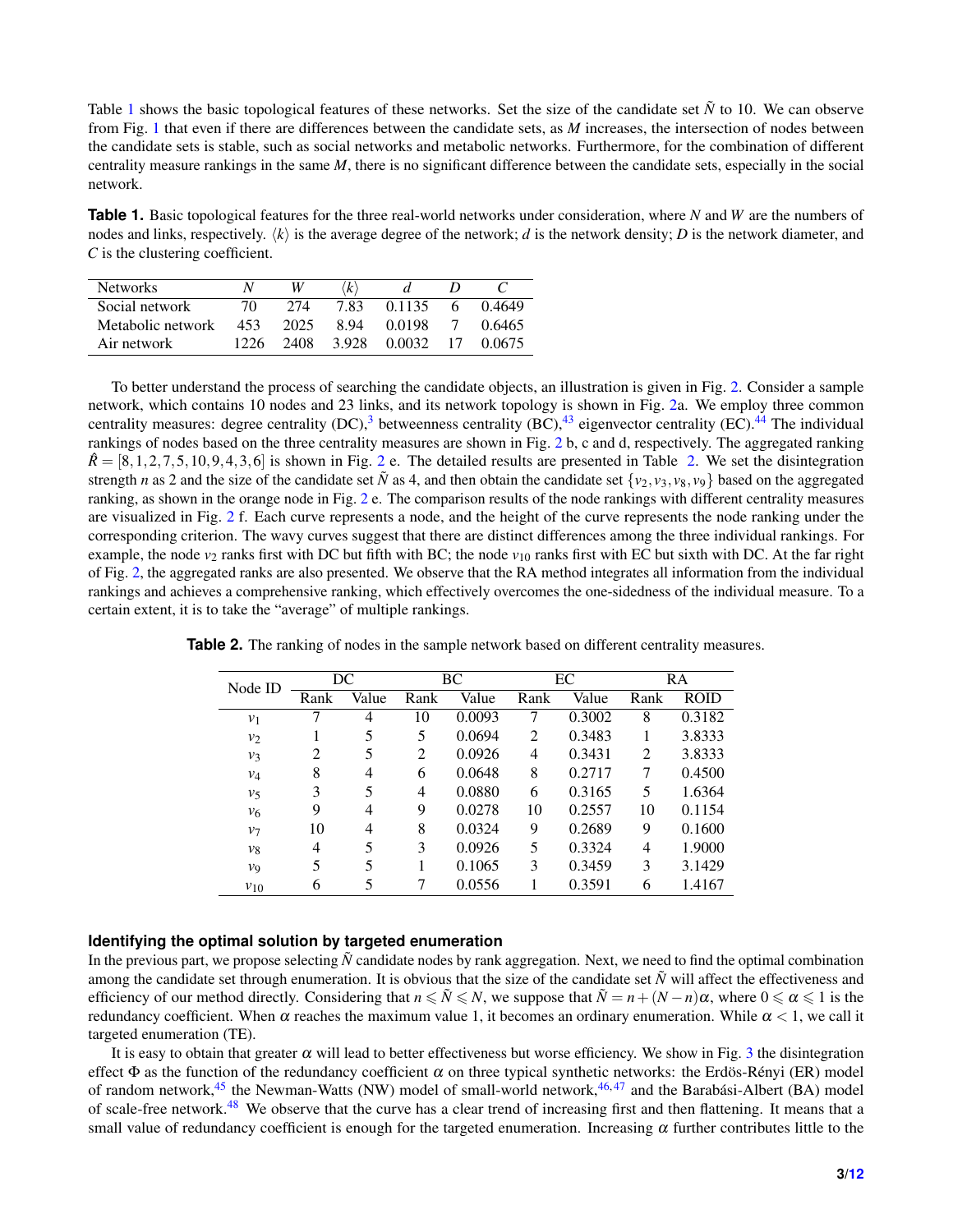Table [1](#page-2-0) shows the basic topological features of these networks. Set the size of the candidate set  $\tilde{N}$  to 10. We can observe from Fig. [1](#page-3-0) that even if there are differences between the candidate sets, as *M* increases, the intersection of nodes between the candidate sets is stable, such as social networks and metabolic networks. Furthermore, for the combination of different centrality measure rankings in the same *M*, there is no significant difference between the candidate sets, especially in the social network.

<span id="page-2-0"></span>**Table 1.** Basic topological features for the three real-world networks under consideration, where *N* and *W* are the numbers of nodes and links, respectively.  $\langle k \rangle$  is the average degree of the network; *d* is the network density; *D* is the network diameter, and *C* is the clustering coefficient.

| <b>Networks</b>   |      | W    | k     |        |   |         |
|-------------------|------|------|-------|--------|---|---------|
| Social network    | 70   | 274  | 783   | 0.1135 | h | (14649) |
| Metabolic network | 453  | 2025 | 894   | 0.0198 |   | 0.6465  |
| Air network       | 1226 | 2408 | 3.928 | 0.0032 |   | 0.0675  |

To better understand the process of searching the candidate objects, an illustration is given in Fig. [2.](#page-4-0) Consider a sample network, which contains 10 nodes and 23 links, and its network topology is shown in Fig. [2a](#page-4-0). We employ three common centrality measures: degree centrality  $(DC)$ , betweenness centrality  $(BC)$ ,  $43$  $43$  eigenvector centrality  $(EC)$ .  $44$  The individual rankings of nodes based on the three centrality measures are shown in Fig. [2](#page-4-0) b, c and d, respectively. The aggregated ranking  $\hat{R} = [8, 1, 2, 7, 5, 10, 9, 4, 3, 6]$  $\hat{R} = [8, 1, 2, 7, 5, 10, 9, 4, 3, 6]$  $\hat{R} = [8, 1, 2, 7, 5, 10, 9, 4, 3, 6]$  is shown in Fig. 2 e. The detailed results are presented in Table [2.](#page-2-1) We set the disintegration strength *n* as 2 and the size of the candidate set  $\tilde{N}$  as 4, and then obtain the candidate set  $\{v_2, v_3, v_8, v_9\}$  based on the aggregated ranking, as shown in the orange node in Fig. [2](#page-4-0) e. The comparison results of the node rankings with different centrality measures are visualized in Fig. [2](#page-4-0) f. Each curve represents a node, and the height of the curve represents the node ranking under the corresponding criterion. The wavy curves suggest that there are distinct differences among the three individual rankings. For example, the node  $v_2$  ranks first with DC but fifth with BC; the node  $v_{10}$  ranks first with EC but sixth with DC. At the far right of Fig. [2,](#page-4-0) the aggregated ranks are also presented. We observe that the RA method integrates all information from the individual rankings and achieves a comprehensive ranking, which effectively overcomes the one-sidedness of the individual measure. To a certain extent, it is to take the "average" of multiple rankings.

| Node ID  | DC   |       | ВC   |        | EC   |        | RA             |             |
|----------|------|-------|------|--------|------|--------|----------------|-------------|
|          | Rank | Value | Rank | Value  | Rank | Value  | Rank           | <b>ROID</b> |
| $v_1$    |      | 4     | 10   | 0.0093 | 7    | 0.3002 | 8              | 0.3182      |
| $v_2$    |      | 5     | 5    | 0.0694 | 2    | 0.3483 |                | 3.8333      |
| $v_3$    | 2    | 5     | 2    | 0.0926 | 4    | 0.3431 | $\overline{2}$ | 3.8333      |
| $v_4$    | 8    | 4     | 6    | 0.0648 | 8    | 0.2717 | 7              | 0.4500      |
| $v_5$    | 3    | 5     | 4    | 0.0880 | 6    | 0.3165 | 5              | 1.6364      |
| ν6       | 9    | 4     | 9    | 0.0278 | 10   | 0.2557 | 10             | 0.1154      |
| $v_7$    | 10   | 4     | 8    | 0.0324 | 9    | 0.2689 | 9              | 0.1600      |
| νg       | 4    | 5     | 3    | 0.0926 | 5    | 0.3324 | 4              | 1.9000      |
| V9       | 5    | 5     |      | 0.1065 | 3    | 0.3459 | 3              | 3.1429      |
| $v_{10}$ | 6    | 5     |      | 0.0556 |      | 0.3591 | 6              | 1.4167      |

<span id="page-2-1"></span>**Table 2.** The ranking of nodes in the sample network based on different centrality measures.

### **Identifying the optimal solution by targeted enumeration**

In the previous part, we propose selecting  $\tilde{N}$  candidate nodes by rank aggregation. Next, we need to find the optimal combination among the candidate set through enumeration. It is obvious that the size of the candidate set  $\tilde{N}$  will affect the effectiveness and efficiency of our method directly. Considering that  $n \le N \le N$ , we suppose that  $N = n + (N - n)\alpha$ , where  $0 \le \alpha \le 1$  is the redundancy coefficient. When  $\alpha$  reaches the maximum value 1, it becomes an ordinary enumeration. While  $\alpha < 1$ , we call it targeted enumeration (TE).

It is easy to obtain that greater  $\alpha$  will lead to better effectiveness but worse efficiency. We show in Fig. [3](#page-5-0) the disintegration effect  $\Phi$  as the function of the redundancy coefficient  $\alpha$  on three typical synthetic networks: the Erdös-Rényi (ER) model of random network, $45$  the Newman-Watts (NW) model of small-world network, $46,47$  $46,47$  and the Barabási-Albert (BA) model of scale-free network.<sup>[48](#page-11-15)</sup> We observe that the curve has a clear trend of increasing first and then flattening. It means that a small value of redundancy coefficient is enough for the targeted enumeration. Increasing  $\alpha$  further contributes little to the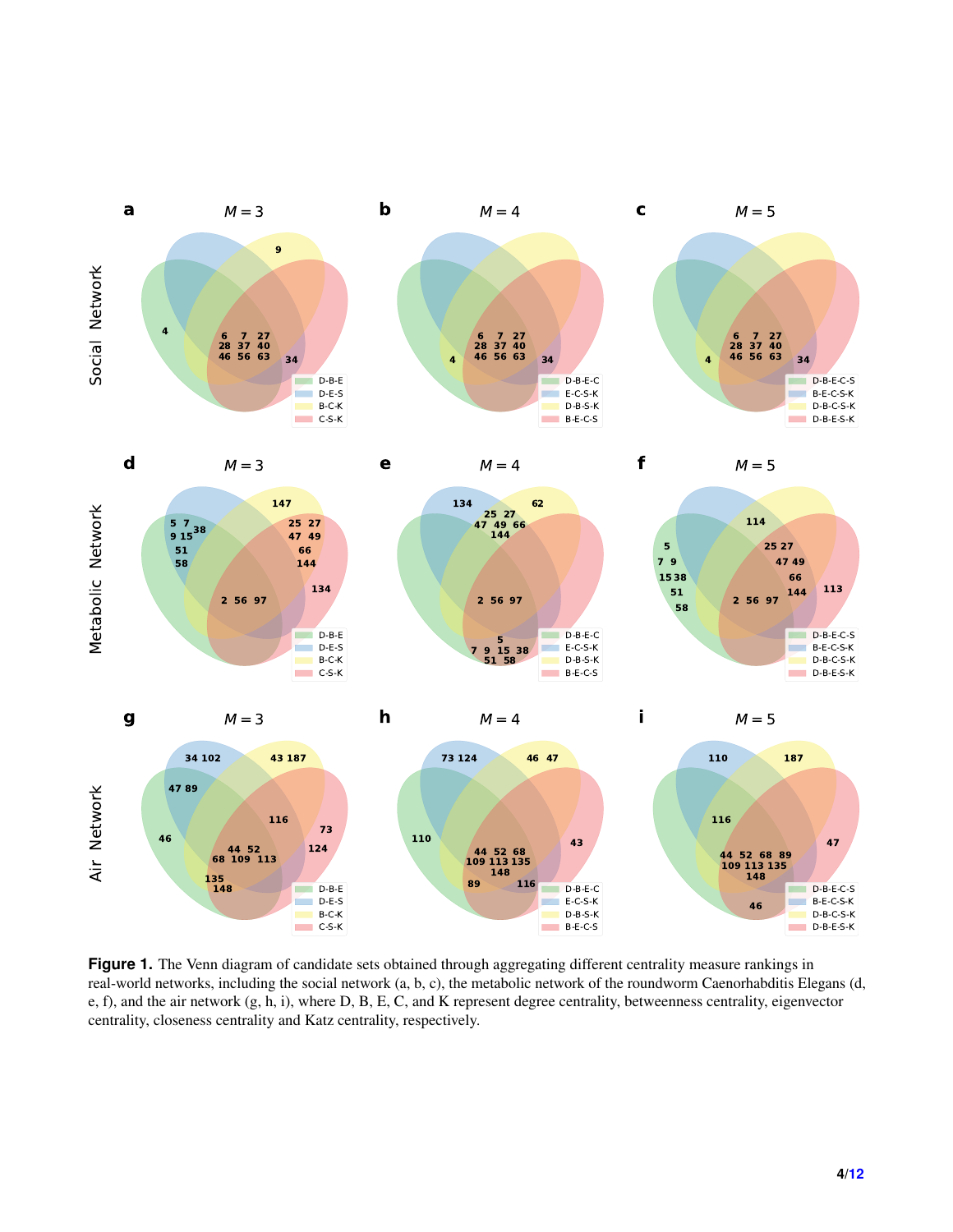<span id="page-3-0"></span>

**Figure 1.** The Venn diagram of candidate sets obtained through aggregating different centrality measure rankings in real-world networks, including the social network (a, b, c), the metabolic network of the roundworm Caenorhabditis Elegans (d, e, f), and the air network (g, h, i), where D, B, E, C, and K represent degree centrality, betweenness centrality, eigenvector centrality, closeness centrality and Katz centrality, respectively.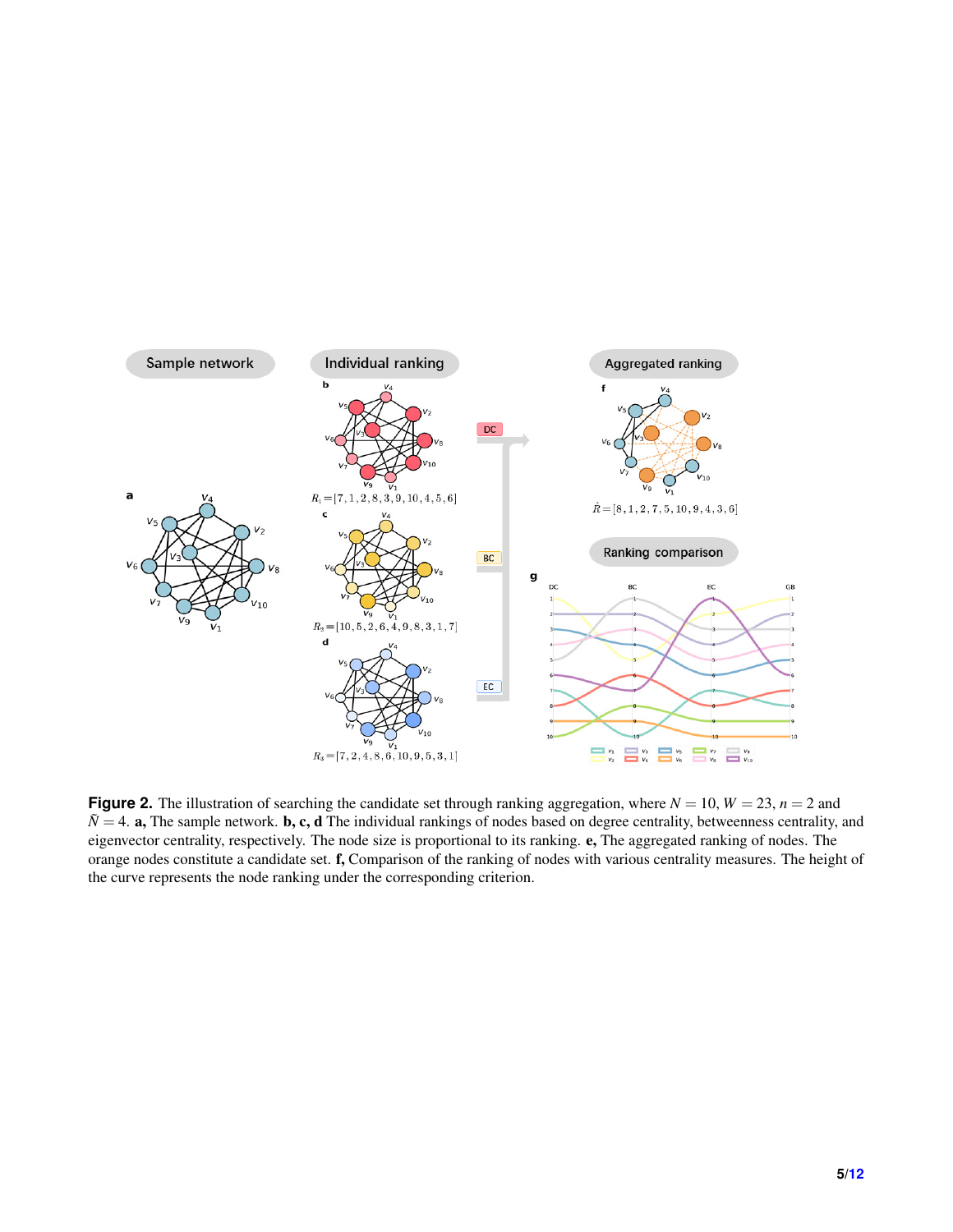<span id="page-4-0"></span>

**Figure 2.** The illustration of searching the candidate set through ranking aggregation, where  $N = 10$ ,  $W = 23$ ,  $n = 2$  and  $\tilde{N}$  = 4. **a**, The sample network. **b**, **c**, **d** The individual rankings of nodes based on degree centrality, betweenness centrality, and eigenvector centrality, respectively. The node size is proportional to its ranking. e, The aggregated ranking of nodes. The orange nodes constitute a candidate set. f, Comparison of the ranking of nodes with various centrality measures. The height of the curve represents the node ranking under the corresponding criterion.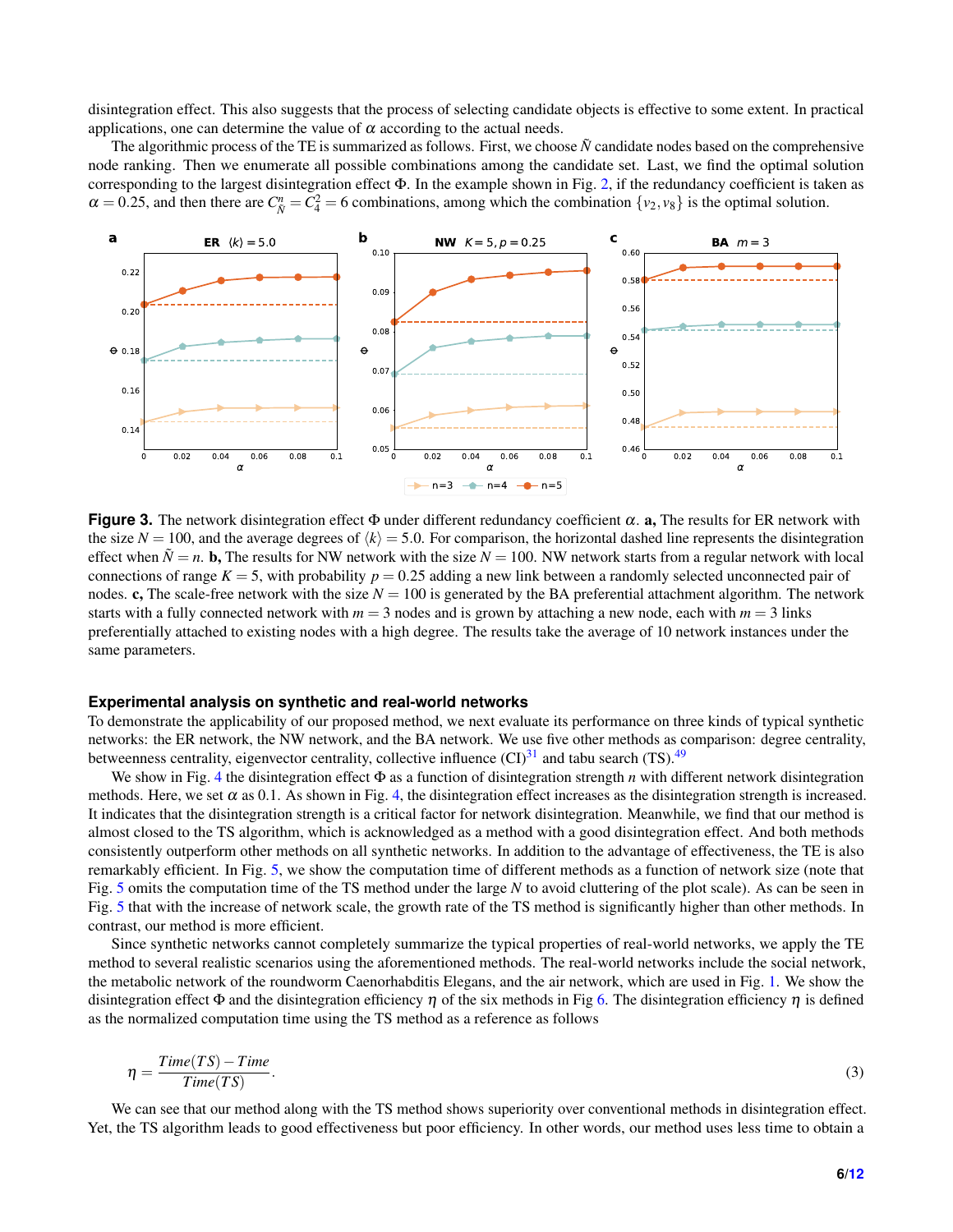disintegration effect. This also suggests that the process of selecting candidate objects is effective to some extent. In practical applications, one can determine the value of  $\alpha$  according to the actual needs.

The algorithmic process of the TE is summarized as follows. First, we choose  $\tilde{N}$  candidate nodes based on the comprehensive node ranking. Then we enumerate all possible combinations among the candidate set. Last, we find the optimal solution corresponding to the largest disintegration effect Φ. In the example shown in Fig. [2,](#page-4-0) if the redundancy coefficient is taken as  $\alpha = 0.25$ , and then there are  $C_{\tilde{N}}^n = C_4^2 = 6$  combinations, among which the combination  $\{v_2, v_8\}$  is the optimal solution.

<span id="page-5-0"></span>

**Figure 3.** The network disintegration effect  $\Phi$  under different redundancy coefficient  $\alpha$ . **a**, The results for ER network with the size  $N = 100$ , and the average degrees of  $\langle k \rangle = 5.0$ . For comparison, the horizontal dashed line represents the disintegration effect when  $\tilde{N} = n$ . **b**, The results for NW network with the size  $N = 100$ . NW network starts from a regular network with local connections of range  $K = 5$ , with probability  $p = 0.25$  adding a new link between a randomly selected unconnected pair of nodes. c, The scale-free network with the size  $N = 100$  is generated by the BA preferential attachment algorithm. The network starts with a fully connected network with  $m = 3$  nodes and is grown by attaching a new node, each with  $m = 3$  links preferentially attached to existing nodes with a high degree. The results take the average of 10 network instances under the same parameters.

#### **Experimental analysis on synthetic and real-world networks**

To demonstrate the applicability of our proposed method, we next evaluate its performance on three kinds of typical synthetic networks: the ER network, the NW network, and the BA network. We use five other methods as comparison: degree centrality, betweenness centrality, eigenvector centrality, collective influence  $(CI)^{31}$  $(CI)^{31}$  $(CI)^{31}$  and tabu search (TS).<sup>[49](#page-11-16)</sup>

We show in Fig. [4](#page-6-0) the disintegration effect Φ as a function of disintegration strength *n* with different network disintegration methods. Here, we set  $\alpha$  as 0.1. As shown in Fig. [4,](#page-6-0) the disintegration effect increases as the disintegration strength is increased. It indicates that the disintegration strength is a critical factor for network disintegration. Meanwhile, we find that our method is almost closed to the TS algorithm, which is acknowledged as a method with a good disintegration effect. And both methods consistently outperform other methods on all synthetic networks. In addition to the advantage of effectiveness, the TE is also remarkably efficient. In Fig. [5,](#page-7-0) we show the computation time of different methods as a function of network size (note that Fig. [5](#page-7-0) omits the computation time of the TS method under the large *N* to avoid cluttering of the plot scale). As can be seen in Fig. [5](#page-7-0) that with the increase of network scale, the growth rate of the TS method is significantly higher than other methods. In contrast, our method is more efficient.

Since synthetic networks cannot completely summarize the typical properties of real-world networks, we apply the TE method to several realistic scenarios using the aforementioned methods. The real-world networks include the social network, the metabolic network of the roundworm Caenorhabditis Elegans, and the air network, which are used in Fig. [1.](#page-3-0) We show the disintegration effect  $\Phi$  and the disintegration efficiency  $\eta$  of the six methods in Fig [6.](#page-8-0) The disintegration efficiency  $\eta$  is defined as the normalized computation time using the TS method as a reference as follows

$$
\eta = \frac{Time(TS) - Time}{Time(TS)}.\tag{3}
$$

We can see that our method along with the TS method shows superiority over conventional methods in disintegration effect. Yet, the TS algorithm leads to good effectiveness but poor efficiency. In other words, our method uses less time to obtain a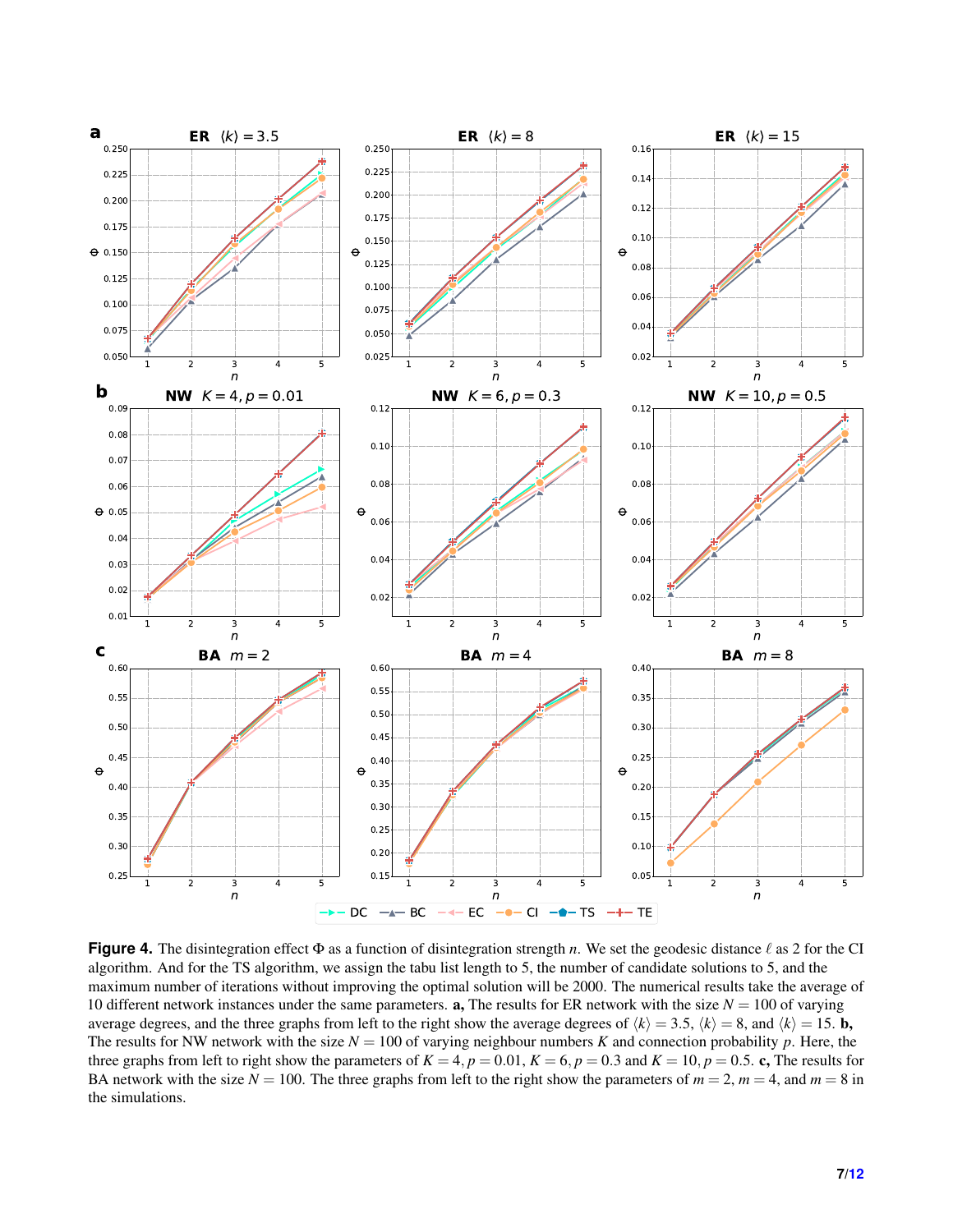<span id="page-6-0"></span>

**Figure 4.** The disintegration effect  $\Phi$  as a function of disintegration strength *n*. We set the geodesic distance  $\ell$  as 2 for the CI algorithm. And for the TS algorithm, we assign the tabu list length to 5, the number of candidate solutions to 5, and the maximum number of iterations without improving the optimal solution will be 2000. The numerical results take the average of 10 different network instances under the same parameters. **a**, The results for ER network with the size  $N = 100$  of varying average degrees, and the three graphs from left to the right show the average degrees of  $\langle k \rangle = 3.5$ ,  $\langle k \rangle = 8$ , and  $\langle k \rangle = 15$ . **b**, The results for NW network with the size  $N = 100$  of varying neighbour numbers *K* and connection probability *p*. Here, the three graphs from left to right show the parameters of  $K = 4$ ,  $p = 0.01$ ,  $K = 6$ ,  $p = 0.3$  and  $K = 10$ ,  $p = 0.5$ . c, The results for BA network with the size  $N = 100$ . The three graphs from left to the right show the parameters of  $m = 2$ ,  $m = 4$ , and  $m = 8$  in the simulations.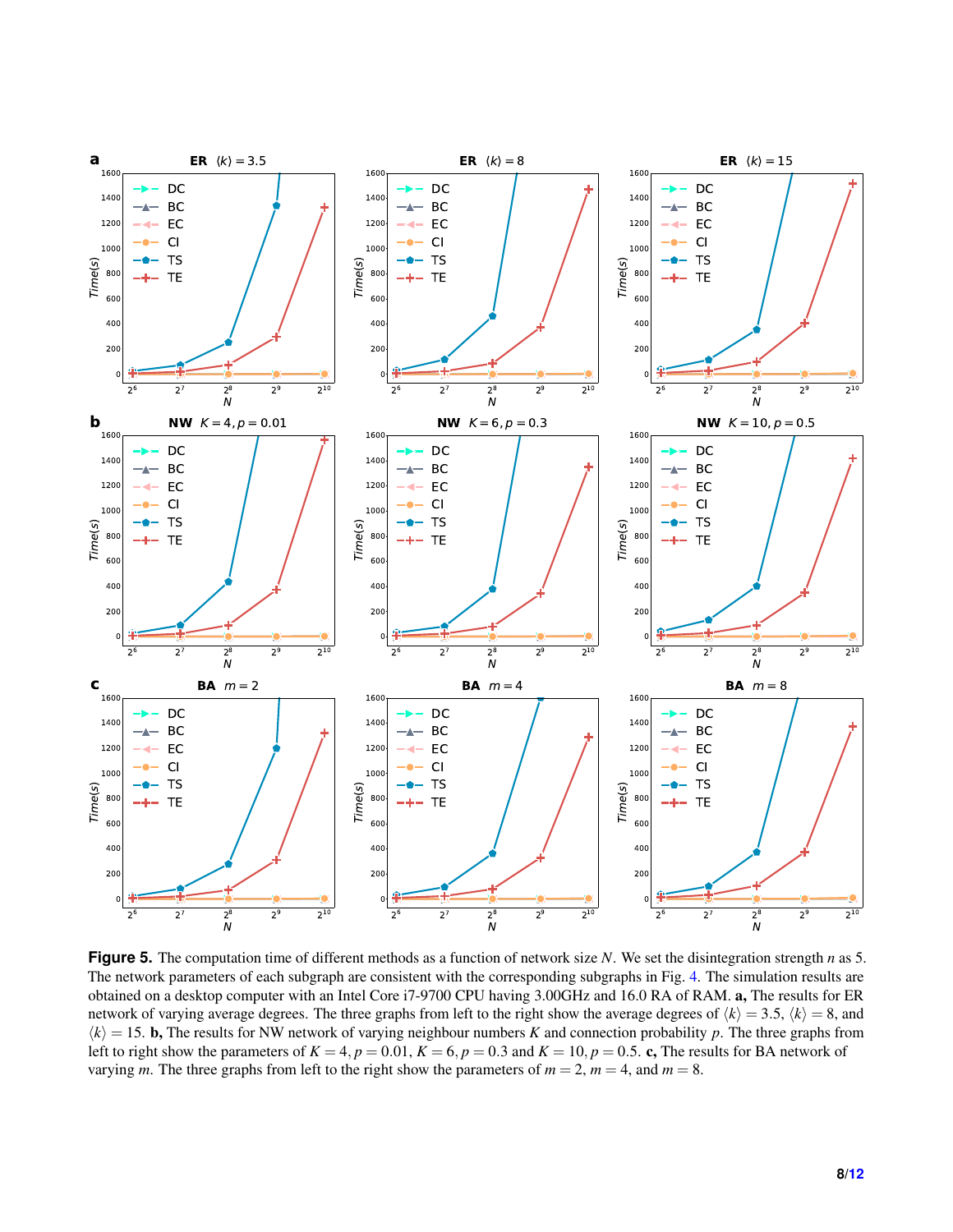<span id="page-7-0"></span>

**Figure 5.** The computation time of different methods as a function of network size *N*. We set the disintegration strength *n* as 5. The network parameters of each subgraph are consistent with the corresponding subgraphs in Fig. [4.](#page-6-0) The simulation results are obtained on a desktop computer with an Intel Core i7-9700 CPU having 3.00GHz and 16.0 RA of RAM. a, The results for ER network of varying average degrees. The three graphs from left to the right show the average degrees of  $\langle k \rangle = 3.5$ ,  $\langle k \rangle = 8$ , and  $\langle k \rangle = 15$ . **b**, The results for NW network of varying neighbour numbers *K* and connection probability *p*. The three graphs from left to right show the parameters of  $K = 4$ ,  $p = 0.01$ ,  $K = 6$ ,  $p = 0.3$  and  $K = 10$ ,  $p = 0.5$ . c, The results for BA network of varying *m*. The three graphs from left to the right show the parameters of  $m = 2$ ,  $m = 4$ , and  $m = 8$ .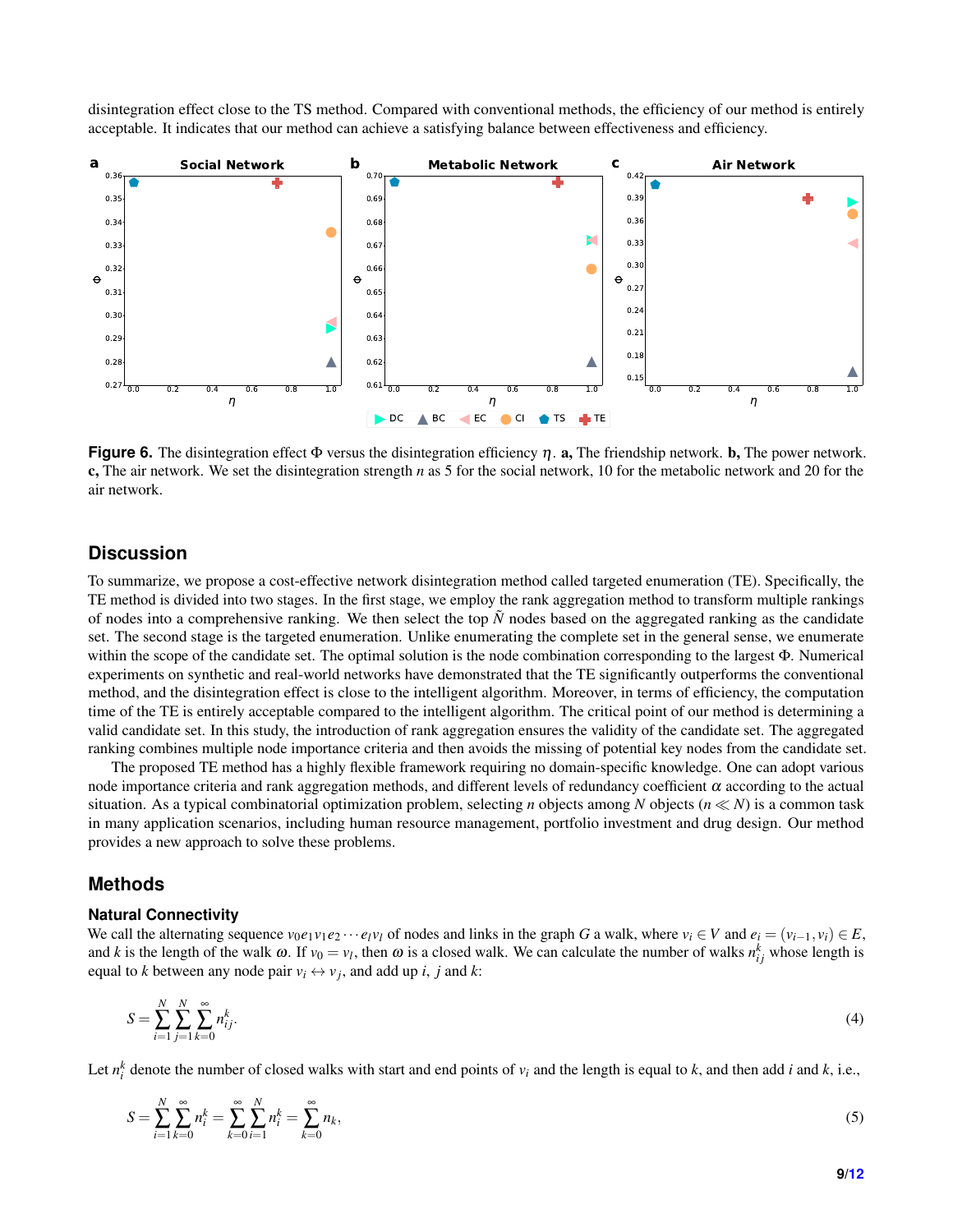disintegration effect close to the TS method. Compared with conventional methods, the efficiency of our method is entirely acceptable. It indicates that our method can achieve a satisfying balance between effectiveness and efficiency.

<span id="page-8-0"></span>

**Figure 6.** The disintegration effect  $\Phi$  versus the disintegration efficiency  $\eta$ . a, The friendship network. **b**, The power network. c, The air network. We set the disintegration strength *n* as 5 for the social network, 10 for the metabolic network and 20 for the air network.

## **Discussion**

To summarize, we propose a cost-effective network disintegration method called targeted enumeration (TE). Specifically, the TE method is divided into two stages. In the first stage, we employ the rank aggregation method to transform multiple rankings of nodes into a comprehensive ranking. We then select the top  $\tilde{N}$  nodes based on the aggregated ranking as the candidate set. The second stage is the targeted enumeration. Unlike enumerating the complete set in the general sense, we enumerate within the scope of the candidate set. The optimal solution is the node combination corresponding to the largest Φ. Numerical experiments on synthetic and real-world networks have demonstrated that the TE significantly outperforms the conventional method, and the disintegration effect is close to the intelligent algorithm. Moreover, in terms of efficiency, the computation time of the TE is entirely acceptable compared to the intelligent algorithm. The critical point of our method is determining a valid candidate set. In this study, the introduction of rank aggregation ensures the validity of the candidate set. The aggregated ranking combines multiple node importance criteria and then avoids the missing of potential key nodes from the candidate set.

The proposed TE method has a highly flexible framework requiring no domain-specific knowledge. One can adopt various node importance criteria and rank aggregation methods, and different levels of redundancy coefficient α according to the actual situation. As a typical combinatorial optimization problem, selecting *n* objects among *N* objects ( $n \ll N$ ) is a common task in many application scenarios, including human resource management, portfolio investment and drug design. Our method provides a new approach to solve these problems.

## **Methods**

#### **Natural Connectivity**

We call the alternating sequence  $v_0e_1v_1e_2\cdots e_lv_l$  of nodes and links in the graph G a walk, where  $v_i \in V$  and  $e_i = (v_{i-1}, v_i) \in E$ , and *k* is the length of the walk  $\omega$ . If  $v_0 = v_l$ , then  $\omega$  is a closed walk. We can calculate the number of walks  $n_{ij}^k$  whose length is equal to *k* between any node pair  $v_i \leftrightarrow v_j$ , and add up *i*, *j* and *k*:

$$
S = \sum_{i=1}^{N} \sum_{j=1}^{N} \sum_{k=0}^{\infty} n_{ij}^{k}.
$$
\n(4)

Let  $n_i^k$  denote the number of closed walks with start and end points of  $v_i$  and the length is equal to  $k$ , and then add  $i$  and  $k$ , i.e.,

$$
S = \sum_{i=1}^{N} \sum_{k=0}^{\infty} n_i^k = \sum_{k=0}^{\infty} \sum_{i=1}^{N} n_i^k = \sum_{k=0}^{\infty} n_k,
$$
\n(5)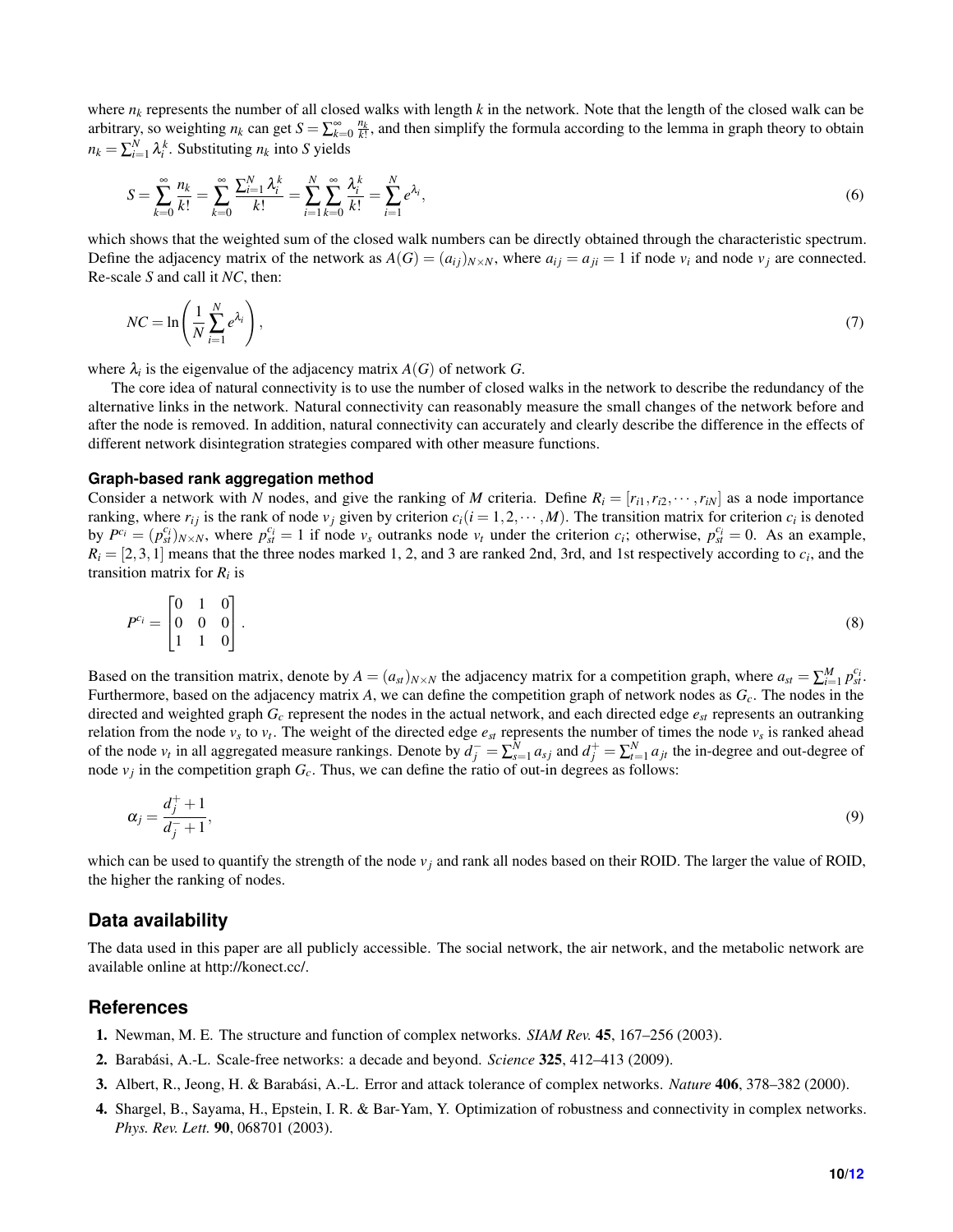where  $n_k$  represents the number of all closed walks with length  $k$  in the network. Note that the length of the closed walk can be arbitrary, so weighting  $n_k$  can get  $S = \sum_{k=0}^{\infty} \frac{n_k}{k!}$ , and then simplify the formula according to the lemma in graph theory to obtain  $n_k = \sum_{i=1}^{N} \lambda_i^k$ . Substituting  $n_k$  into *S* yields

$$
S = \sum_{k=0}^{\infty} \frac{n_k}{k!} = \sum_{k=0}^{\infty} \frac{\sum_{i=1}^{N} \lambda_i^k}{k!} = \sum_{i=1}^{N} \sum_{k=0}^{\infty} \frac{\lambda_i^k}{k!} = \sum_{i=1}^{N} e^{\lambda_i},
$$
(6)

which shows that the weighted sum of the closed walk numbers can be directly obtained through the characteristic spectrum. Define the adjacency matrix of the network as  $A(G) = (a_{ij})_{N \times N}$ , where  $a_{ij} = a_{ji} = 1$  if node  $v_i$  and node  $v_j$  are connected. Re-scale *S* and call it *NC*, then:

$$
NC = \ln\left(\frac{1}{N}\sum_{i=1}^{N}e^{\lambda_i}\right),\tag{7}
$$

where  $\lambda_i$  is the eigenvalue of the adjacency matrix  $A(G)$  of network  $G$ .

The core idea of natural connectivity is to use the number of closed walks in the network to describe the redundancy of the alternative links in the network. Natural connectivity can reasonably measure the small changes of the network before and after the node is removed. In addition, natural connectivity can accurately and clearly describe the difference in the effects of different network disintegration strategies compared with other measure functions.

#### **Graph-based rank aggregation method**

Consider a network with *N* nodes, and give the ranking of *M* criteria. Define  $R_i = [r_{i1}, r_{i2}, \cdots, r_{iN}]$  as a node importance ranking, where  $r_{ij}$  is the rank of node  $v_j$  given by criterion  $c_i$  ( $i = 1, 2, \dots, M$ ). The transition matrix for criterion  $c_i$  is denoted by  $P^{c_i} = (p_{st}^{c_i})_{N \times N}$ , where  $p_{st}^{c_i} = 1$  if node  $v_s$  outranks node  $v_t$  under the criterion  $c_i$ ; otherwise,  $p_{st}^{c_i} = 0$ . As an example,  $R_i = [2, 3, 1]$  means that the three nodes marked 1, 2, and 3 are ranked 2nd, 3rd, and 1st respectively according to  $c_i$ , and the transition matrix for *R<sup>i</sup>* is

$$
P^{c_i} = \begin{bmatrix} 0 & 1 & 0 \\ 0 & 0 & 0 \\ 1 & 1 & 0 \end{bmatrix} . \tag{8}
$$

Based on the transition matrix, denote by  $A = (a_{st})_{N \times N}$  the adjacency matrix for a competition graph, where  $a_{st} = \sum_{i=1}^{M} p_{st}^{c_i}$ . Furthermore, based on the adjacency matrix *A*, we can define the competition graph of network nodes as *Gc*. The nodes in the directed and weighted graph *G<sup>c</sup>* represent the nodes in the actual network, and each directed edge *est* represents an outranking relation from the node  $v_s$  to  $v_t$ . The weight of the directed edge  $e_{st}$  represents the number of times the node  $v_s$  is ranked ahead of the node  $v_t$  in all aggregated measure rankings. Denote by  $d_j^- = \sum_{s=1}^N a_{sj}$  and  $d_j^+ = \sum_{t=1}^N a_{jt}$  the in-degree and out-degree of node  $v_j$  in the competition graph  $G_c$ . Thus, we can define the ratio of out-in degrees as follows:

$$
\alpha_j = \frac{d_j^+ + 1}{d_j^- + 1},\tag{9}
$$

which can be used to quantify the strength of the node  $v_j$  and rank all nodes based on their ROID. The larger the value of ROID, the higher the ranking of nodes.

#### **Data availability**

The data used in this paper are all publicly accessible. The social network, the air network, and the metabolic network are available online at http://konect.cc/.

#### **References**

- <span id="page-9-0"></span>1. Newman, M. E. The structure and function of complex networks. *SIAM Rev.* 45, 167–256 (2003).
- <span id="page-9-1"></span>2. Barabasi, A.-L. Scale-free networks: a decade and beyond. ´ *Science* 325, 412–413 (2009).
- <span id="page-9-2"></span>3. Albert, R., Jeong, H. & Barabasi, A.-L. Error and attack tolerance of complex networks. ´ *Nature* 406, 378–382 (2000).
- 4. Shargel, B., Sayama, H., Epstein, I. R. & Bar-Yam, Y. Optimization of robustness and connectivity in complex networks. *Phys. Rev. Lett.* 90, 068701 (2003).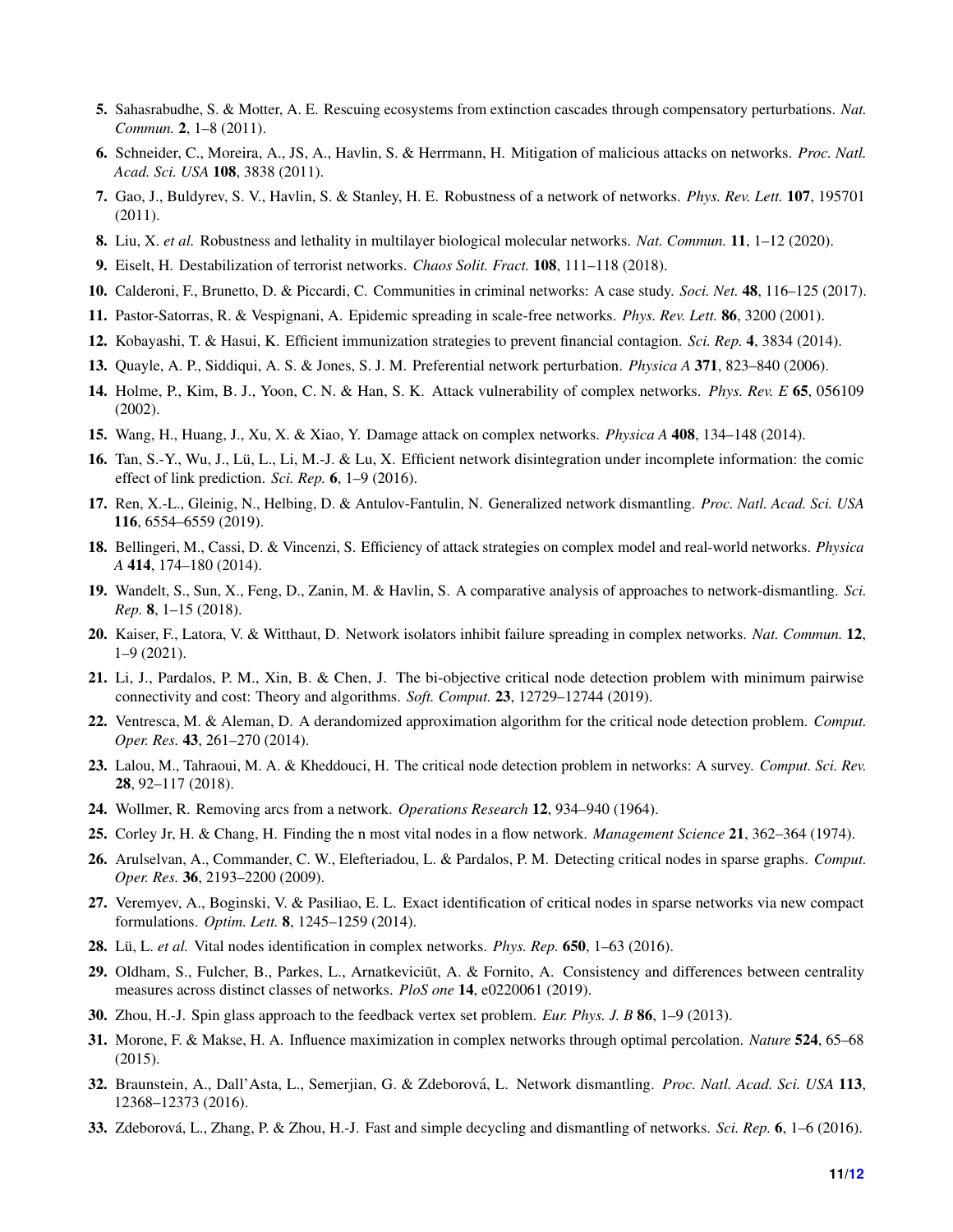- 5. Sahasrabudhe, S. & Motter, A. E. Rescuing ecosystems from extinction cascades through compensatory perturbations. *Nat. Commun.* 2, 1–8 (2011).
- 6. Schneider, C., Moreira, A., JS, A., Havlin, S. & Herrmann, H. Mitigation of malicious attacks on networks. *Proc. Natl. Acad. Sci. USA* 108, 3838 (2011).
- 7. Gao, J., Buldyrev, S. V., Havlin, S. & Stanley, H. E. Robustness of a network of networks. *Phys. Rev. Lett.* 107, 195701 (2011).
- <span id="page-10-0"></span>8. Liu, X. *et al.* Robustness and lethality in multilayer biological molecular networks. *Nat. Commun.* 11, 1–12 (2020).
- <span id="page-10-1"></span>9. Eiselt, H. Destabilization of terrorist networks. *Chaos Solit. Fract.* 108, 111–118 (2018).
- <span id="page-10-2"></span>10. Calderoni, F., Brunetto, D. & Piccardi, C. Communities in criminal networks: A case study. *Soci. Net.* 48, 116–125 (2017).
- <span id="page-10-3"></span>11. Pastor-Satorras, R. & Vespignani, A. Epidemic spreading in scale-free networks. *Phys. Rev. Lett.* 86, 3200 (2001).
- <span id="page-10-4"></span>12. Kobayashi, T. & Hasui, K. Efficient immunization strategies to prevent financial contagion. *Sci. Rep.* 4, 3834 (2014).
- <span id="page-10-5"></span>13. Quayle, A. P., Siddiqui, A. S. & Jones, S. J. M. Preferential network perturbation. *Physica A* 371, 823–840 (2006).
- <span id="page-10-6"></span>14. Holme, P., Kim, B. J., Yoon, C. N. & Han, S. K. Attack vulnerability of complex networks. *Phys. Rev. E* 65, 056109 (2002).
- 15. Wang, H., Huang, J., Xu, X. & Xiao, Y. Damage attack on complex networks. *Physica A* 408, 134–148 (2014).
- 16. Tan, S.-Y., Wu, J., Lü, L., Li, M.-J. & Lu, X. Efficient network disintegration under incomplete information: the comic effect of link prediction. *Sci. Rep.* 6, 1–9 (2016).
- 17. Ren, X.-L., Gleinig, N., Helbing, D. & Antulov-Fantulin, N. Generalized network dismantling. *Proc. Natl. Acad. Sci. USA* 116, 6554–6559 (2019).
- 18. Bellingeri, M., Cassi, D. & Vincenzi, S. Efficiency of attack strategies on complex model and real-world networks. *Physica A* 414, 174–180 (2014).
- 19. Wandelt, S., Sun, X., Feng, D., Zanin, M. & Havlin, S. A comparative analysis of approaches to network-dismantling. *Sci. Rep.* 8, 1–15 (2018).
- <span id="page-10-7"></span>20. Kaiser, F., Latora, V. & Witthaut, D. Network isolators inhibit failure spreading in complex networks. *Nat. Commun.* 12, 1–9 (2021).
- <span id="page-10-8"></span>21. Li, J., Pardalos, P. M., Xin, B. & Chen, J. The bi-objective critical node detection problem with minimum pairwise connectivity and cost: Theory and algorithms. *Soft. Comput.* 23, 12729–12744 (2019).
- <span id="page-10-9"></span>22. Ventresca, M. & Aleman, D. A derandomized approximation algorithm for the critical node detection problem. *Comput. Oper. Res.* 43, 261–270 (2014).
- <span id="page-10-10"></span>23. Lalou, M., Tahraoui, M. A. & Kheddouci, H. The critical node detection problem in networks: A survey. *Comput. Sci. Rev.* 28, 92–117 (2018).
- <span id="page-10-11"></span>24. Wollmer, R. Removing arcs from a network. *Operations Research* 12, 934–940 (1964).
- 25. Corley Jr, H. & Chang, H. Finding the n most vital nodes in a flow network. *Management Science* 21, 362–364 (1974).
- 26. Arulselvan, A., Commander, C. W., Elefteriadou, L. & Pardalos, P. M. Detecting critical nodes in sparse graphs. *Comput. Oper. Res.* 36, 2193–2200 (2009).
- <span id="page-10-12"></span>27. Veremyev, A., Boginski, V. & Pasiliao, E. L. Exact identification of critical nodes in sparse networks via new compact formulations. *Optim. Lett.* 8, 1245–1259 (2014).
- <span id="page-10-13"></span>28. Lü, L. *et al.* Vital nodes identification in complex networks. *Phys. Rep.* 650, 1–63 (2016).
- <span id="page-10-14"></span>29. Oldham, S., Fulcher, B., Parkes, L., Arnatkeviciut, A. & Fornito, A. Consistency and differences between centrality measures across distinct classes of networks. *PloS one* 14, e0220061 (2019).
- <span id="page-10-15"></span>30. Zhou, H.-J. Spin glass approach to the feedback vertex set problem. *Eur. Phys. J. B* 86, 1–9 (2013).
- <span id="page-10-17"></span>31. Morone, F. & Makse, H. A. Influence maximization in complex networks through optimal percolation. *Nature* 524, 65–68 (2015).
- 32. Braunstein, A., Dall'Asta, L., Semerjian, G. & Zdeborová, L. Network dismantling. Proc. Natl. Acad. Sci. USA 113, 12368–12373 (2016).
- <span id="page-10-16"></span>33. Zdeborová, L., Zhang, P. & Zhou, H.-J. Fast and simple decycling and dismantling of networks. *Sci. Rep.* 6, 1–6 (2016).